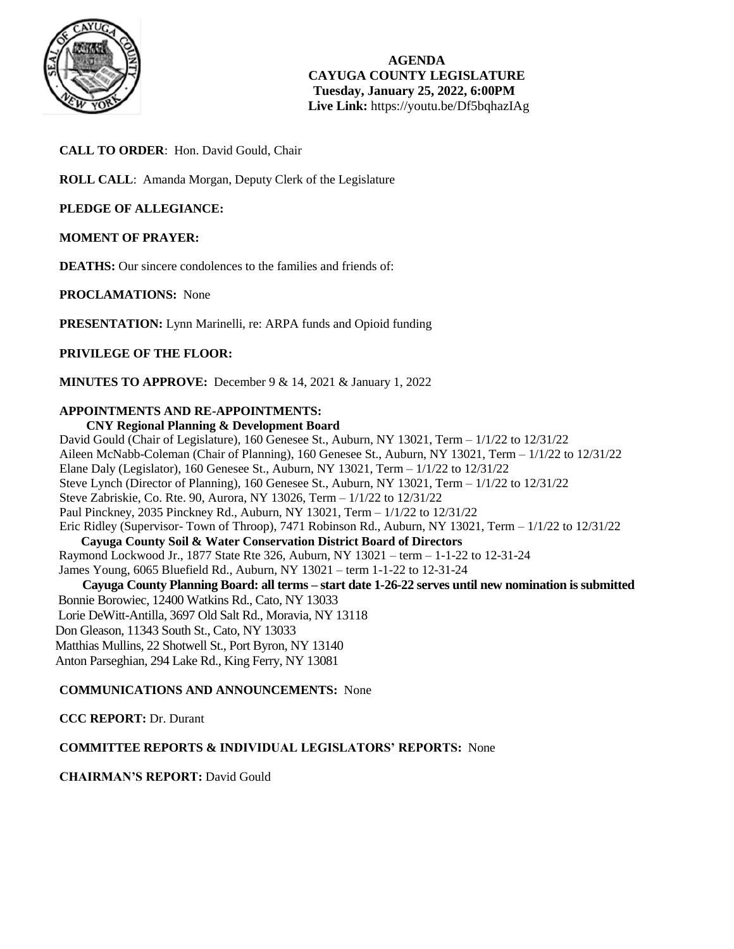

**AGENDA CAYUGA COUNTY LEGISLATURE Tuesday, January 25, 2022, 6:00PM Live Link:** <https://youtu.be/Df5bqhazIAg>

# **CALL TO ORDER**: Hon. David Gould, Chair

**ROLL CALL**: Amanda Morgan, Deputy Clerk of the Legislature

# **PLEDGE OF ALLEGIANCE:**

# **MOMENT OF PRAYER:**

**DEATHS:** Our sincere condolences to the families and friends of:

**PROCLAMATIONS:** None

**PRESENTATION:** Lynn Marinelli, re: ARPA funds and Opioid funding

# **PRIVILEGE OF THE FLOOR:**

**MINUTES TO APPROVE:** December 9 & 14, 2021 & January 1, 2022

# **APPOINTMENTS AND RE-APPOINTMENTS:**

## **CNY Regional Planning & Development Board**

David Gould (Chair of Legislature), 160 Genesee St., Auburn, NY 13021, Term – 1/1/22 to 12/31/22 Aileen McNabb-Coleman (Chair of Planning), 160 Genesee St., Auburn, NY 13021, Term – 1/1/22 to 12/31/22 Elane Daly (Legislator), 160 Genesee St., Auburn, NY 13021, Term – 1/1/22 to 12/31/22 Steve Lynch (Director of Planning), 160 Genesee St., Auburn, NY 13021, Term – 1/1/22 to 12/31/22 Steve Zabriskie, Co. Rte. 90, Aurora, NY 13026, Term – 1/1/22 to 12/31/22 Paul Pinckney, 2035 Pinckney Rd., Auburn, NY 13021, Term – 1/1/22 to 12/31/22 Eric Ridley (Supervisor- Town of Throop), 7471 Robinson Rd., Auburn, NY 13021, Term – 1/1/22 to 12/31/22 **Cayuga County Soil & Water Conservation District Board of Directors** Raymond Lockwood Jr., 1877 State Rte 326, Auburn, NY 13021 – term – 1-1-22 to 12-31-24 James Young, 6065 Bluefield Rd., Auburn, NY 13021 – term 1-1-22 to 12-31-24  **Cayuga County Planning Board: all terms – start date 1-26-22 serves until new nomination is submitted** Bonnie Borowiec, 12400 Watkins Rd., Cato, NY 13033 Lorie DeWitt-Antilla, 3697 Old Salt Rd., Moravia, NY 13118 Don Gleason, 11343 South St., Cato, NY 13033 Matthias Mullins, 22 Shotwell St., Port Byron, NY 13140 Anton Parseghian, 294 Lake Rd., King Ferry, NY 13081

## **COMMUNICATIONS AND ANNOUNCEMENTS:** None

**CCC REPORT:** Dr. Durant

# **COMMITTEE REPORTS & INDIVIDUAL LEGISLATORS' REPORTS:** None

**CHAIRMAN'S REPORT:** David Gould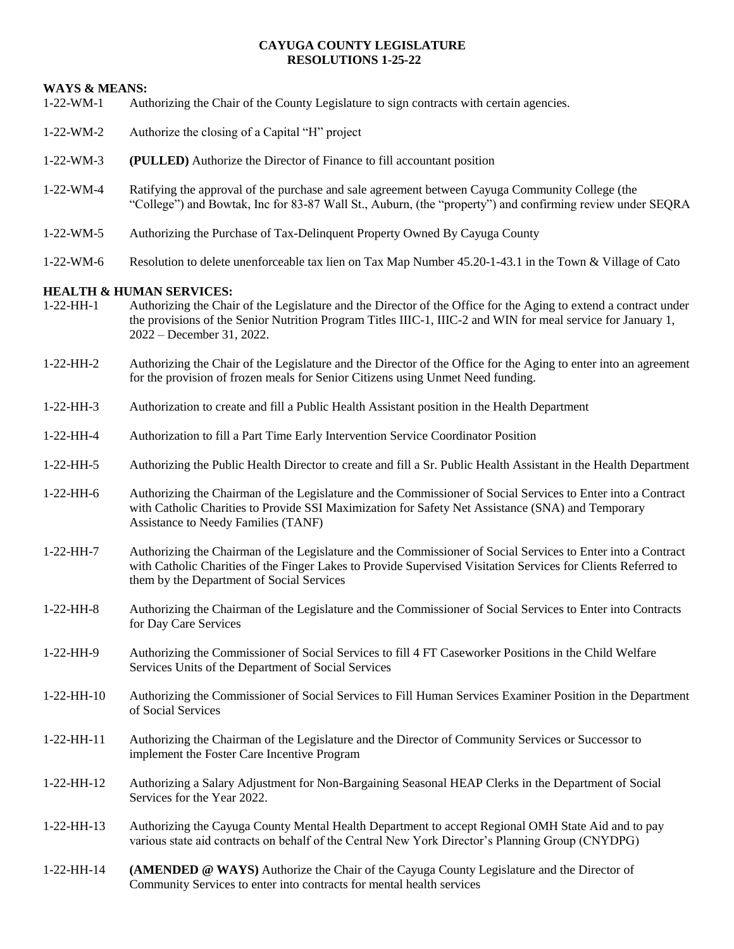# **CAYUGA COUNTY LEGISLATURE RESOLUTIONS 1-25-22**

# **WAYS & MEANS:**

- 1-22-WM-1 Authorizing the Chair of the County Legislature to sign contracts with certain agencies.
- 1-22-WM-2 Authorize the closing of a Capital "H" project
- 1-22-WM-3 **(PULLED)** Authorize the Director of Finance to fill accountant position
- 1-22-WM-4 Ratifying the approval of the purchase and sale agreement between Cayuga Community College (the "College") and Bowtak, Inc for 83-87 Wall St., Auburn, (the "property") and confirming review under SEQRA
- 1-22-WM-5 Authorizing the Purchase of Tax-Delinquent Property Owned By Cayuga County
- 1-22-WM-6 Resolution to delete unenforceable tax lien on Tax Map Number 45.20-1-43.1 in the Town & Village of Cato

# **HEALTH & HUMAN SERVICES:**

- 1-22-HH-1 Authorizing the Chair of the Legislature and the Director of the Office for the Aging to extend a contract under the provisions of the Senior Nutrition Program Titles IIIC-1, IIIC-2 and WIN for meal service for January 1, 2022 – December 31, 2022.
- 1-22-HH-2 Authorizing the Chair of the Legislature and the Director of the Office for the Aging to enter into an agreement for the provision of frozen meals for Senior Citizens using Unmet Need funding.
- 1-22-HH-3 Authorization to create and fill a Public Health Assistant position in the Health Department
- 1-22-HH-4 Authorization to fill a Part Time Early Intervention Service Coordinator Position
- 1-22-HH-5 Authorizing the Public Health Director to create and fill a Sr. Public Health Assistant in the Health Department
- 1-22-HH-6 Authorizing the Chairman of the Legislature and the Commissioner of Social Services to Enter into a Contract with Catholic Charities to Provide SSI Maximization for Safety Net Assistance (SNA) and Temporary Assistance to Needy Families (TANF)
- 1-22-HH-7 Authorizing the Chairman of the Legislature and the Commissioner of Social Services to Enter into a Contract with Catholic Charities of the Finger Lakes to Provide Supervised Visitation Services for Clients Referred to them by the Department of Social Services
- 1-22-HH-8 Authorizing the Chairman of the Legislature and the Commissioner of Social Services to Enter into Contracts for Day Care Services
- 1-22-HH-9 Authorizing the Commissioner of Social Services to fill 4 FT Caseworker Positions in the Child Welfare Services Units of the Department of Social Services
- 1-22-HH-10 Authorizing the Commissioner of Social Services to Fill Human Services Examiner Position in the Department of Social Services
- 1-22-HH-11 Authorizing the Chairman of the Legislature and the Director of Community Services or Successor to implement the Foster Care Incentive Program
- 1-22-HH-12 Authorizing a Salary Adjustment for Non-Bargaining Seasonal HEAP Clerks in the Department of Social Services for the Year 2022.
- 1-22-HH-13 Authorizing the Cayuga County Mental Health Department to accept Regional OMH State Aid and to pay various state aid contracts on behalf of the Central New York Director's Planning Group (CNYDPG)
- 1-22-HH-14 **(AMENDED @ WAYS)** Authorize the Chair of the Cayuga County Legislature and the Director of Community Services to enter into contracts for mental health services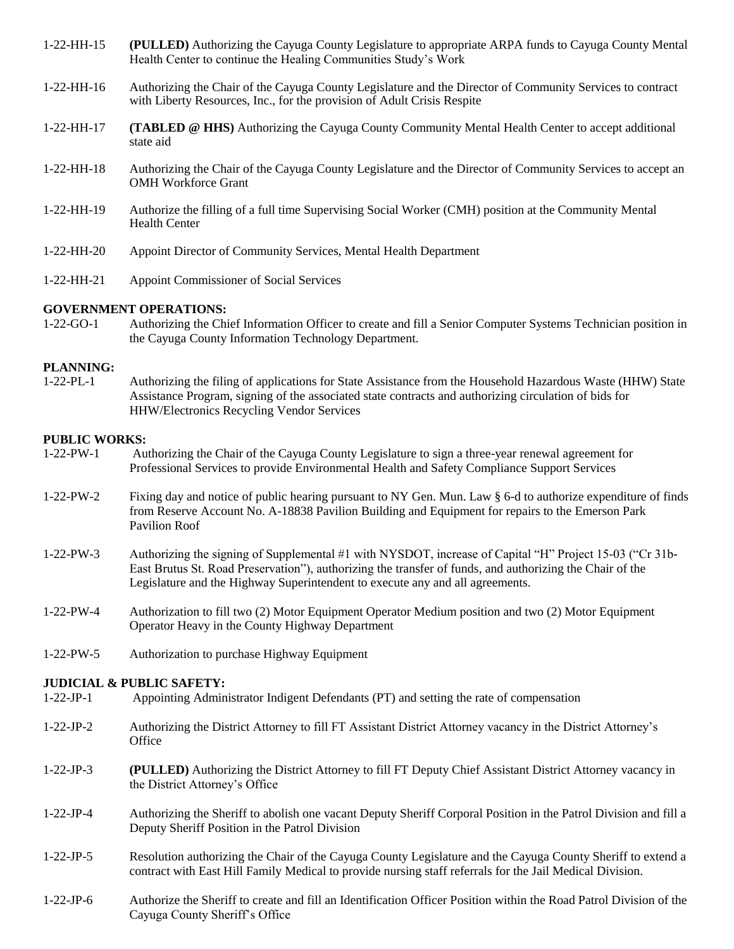| $1-22-HH-15$ | (PULLED) Authorizing the Cayuga County Legislature to appropriate ARPA funds to Cayuga County Mental<br>Health Center to continue the Healing Communities Study's Work               |
|--------------|--------------------------------------------------------------------------------------------------------------------------------------------------------------------------------------|
| $1-22-HH-16$ | Authorizing the Chair of the Cayuga County Legislature and the Director of Community Services to contract<br>with Liberty Resources, Inc., for the provision of Adult Crisis Respite |
| $1-22-HH-17$ | <b>(TABLED @ HHS)</b> Authorizing the Cayuga County Community Mental Health Center to accept additional<br>state aid                                                                 |
| $1-22-HH-18$ | Authorizing the Chair of the Cayuga County Legislature and the Director of Community Services to accept an<br><b>OMH</b> Workforce Grant                                             |
| $1-22-HH-19$ | Authorize the filling of a full time Supervising Social Worker (CMH) position at the Community Mental<br><b>Health Center</b>                                                        |
| $1-22-HH-20$ | Appoint Director of Community Services, Mental Health Department                                                                                                                     |
| $1-22-HH-21$ | <b>Appoint Commissioner of Social Services</b>                                                                                                                                       |

# **GOVERNMENT OPERATIONS:**

1-22-GO-1 Authorizing the Chief Information Officer to create and fill a Senior Computer Systems Technician position in the Cayuga County Information Technology Department.

## **PLANNING:**

1-22-PL-1 Authorizing the filing of applications for State Assistance from the Household Hazardous Waste (HHW) State Assistance Program, signing of the associated state contracts and authorizing circulation of bids for HHW/Electronics Recycling Vendor Services

# **PUBLIC WORKS:**

- 1-22-PW-1 Authorizing the Chair of the Cayuga County Legislature to sign a three-year renewal agreement for Professional Services to provide Environmental Health and Safety Compliance Support Services
- 1-22-PW-2 Fixing day and notice of public hearing pursuant to NY Gen. Mun. Law § 6-d to authorize expenditure of finds from Reserve Account No. A-18838 Pavilion Building and Equipment for repairs to the Emerson Park Pavilion Roof
- 1-22-PW-3 Authorizing the signing of Supplemental #1 with NYSDOT, increase of Capital "H" Project 15-03 ("Cr 31b-East Brutus St. Road Preservation"), authorizing the transfer of funds, and authorizing the Chair of the Legislature and the Highway Superintendent to execute any and all agreements.
- 1-22-PW-4 Authorization to fill two (2) Motor Equipment Operator Medium position and two (2) Motor Equipment Operator Heavy in the County Highway Department
- 1-22-PW-5 Authorization to purchase Highway Equipment

#### **JUDICIAL & PUBLIC SAFETY:**

- 1-22-JP-1 Appointing Administrator Indigent Defendants (PT) and setting the rate of compensation
- 1-22-JP-2 Authorizing the District Attorney to fill FT Assistant District Attorney vacancy in the District Attorney's **Office**
- 1-22-JP-3 **(PULLED)** Authorizing the District Attorney to fill FT Deputy Chief Assistant District Attorney vacancy in the District Attorney's Office
- 1-22-JP-4 Authorizing the Sheriff to abolish one vacant Deputy Sheriff Corporal Position in the Patrol Division and fill a Deputy Sheriff Position in the Patrol Division
- 1-22-JP-5 Resolution authorizing the Chair of the Cayuga County Legislature and the Cayuga County Sheriff to extend a contract with East Hill Family Medical to provide nursing staff referrals for the Jail Medical Division.
- 1-22-JP-6 Authorize the Sheriff to create and fill an Identification Officer Position within the Road Patrol Division of the Cayuga County Sheriff's Office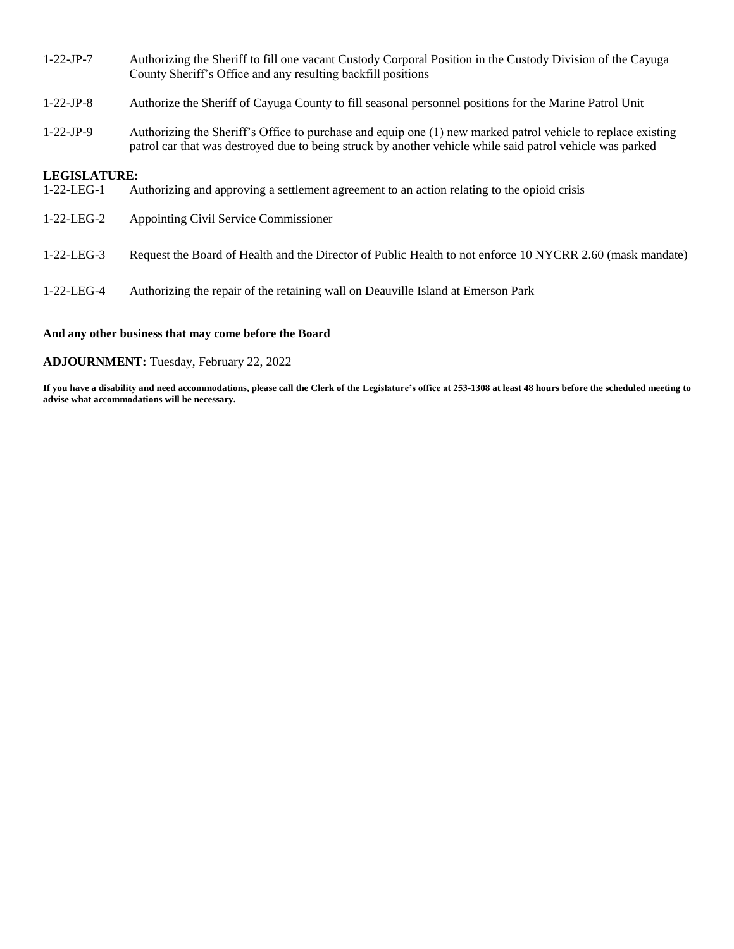- 1-22-JP-7 Authorizing the Sheriff to fill one vacant Custody Corporal Position in the Custody Division of the Cayuga County Sheriff's Office and any resulting backfill positions
- 1-22-JP-8 Authorize the Sheriff of Cayuga County to fill seasonal personnel positions for the Marine Patrol Unit
- 1-22-JP-9 Authorizing the Sheriff's Office to purchase and equip one (1) new marked patrol vehicle to replace existing patrol car that was destroyed due to being struck by another vehicle while said patrol vehicle was parked

### **LEGISLATURE:**

- 1-22-LEG-1 Authorizing and approving a settlement agreement to an action relating to the opioid crisis
- 1-22-LEG-2 Appointing Civil Service Commissioner
- 1-22-LEG-3 Request the Board of Health and the Director of Public Health to not enforce 10 NYCRR 2.60 (mask mandate)
- 1-22-LEG-4 Authorizing the repair of the retaining wall on Deauville Island at Emerson Park

#### **And any other business that may come before the Board**

#### **ADJOURNMENT:** Tuesday, February 22, 2022

**If you have a disability and need accommodations, please call the Clerk of the Legislature's office at 253-1308 at least 48 hours before the scheduled meeting to advise what accommodations will be necessary.**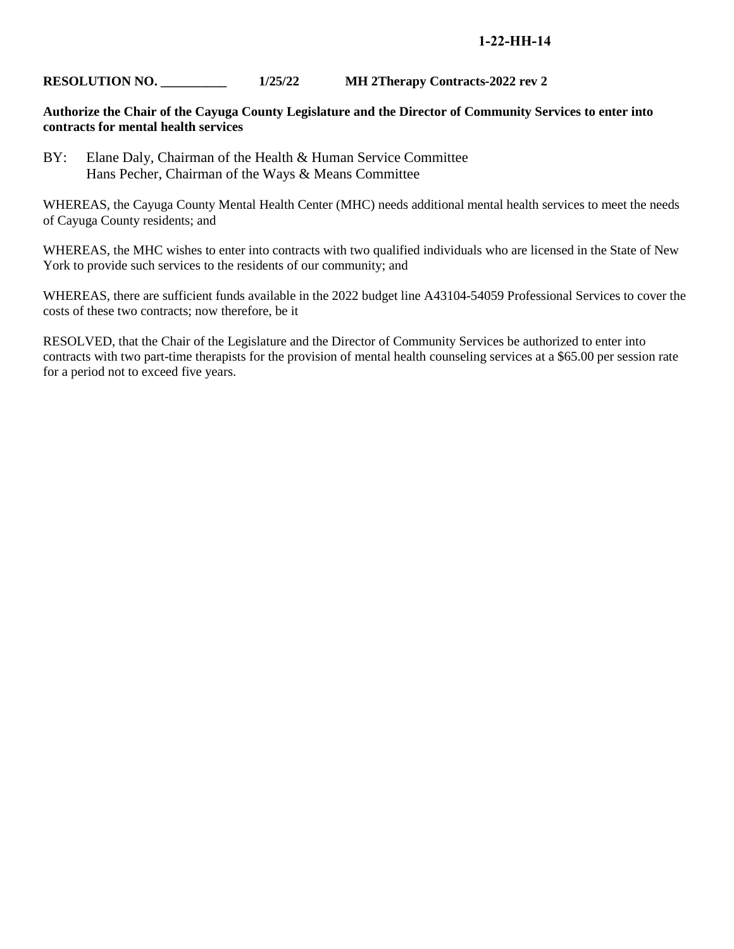# **1-22-HH-14**

# **RESOLUTION NO. \_\_\_\_\_\_\_\_\_\_ 1/25/22 MH 2Therapy Contracts-2022 rev 2**

# **Authorize the Chair of the Cayuga County Legislature and the Director of Community Services to enter into contracts for mental health services**

BY: Elane Daly, Chairman of the Health & Human Service Committee Hans Pecher, Chairman of the Ways & Means Committee

WHEREAS, the Cayuga County Mental Health Center (MHC) needs additional mental health services to meet the needs of Cayuga County residents; and

WHEREAS, the MHC wishes to enter into contracts with two qualified individuals who are licensed in the State of New York to provide such services to the residents of our community; and

WHEREAS, there are sufficient funds available in the 2022 budget line A43104-54059 Professional Services to cover the costs of these two contracts; now therefore, be it

RESOLVED, that the Chair of the Legislature and the Director of Community Services be authorized to enter into contracts with two part-time therapists for the provision of mental health counseling services at a \$65.00 per session rate for a period not to exceed five years.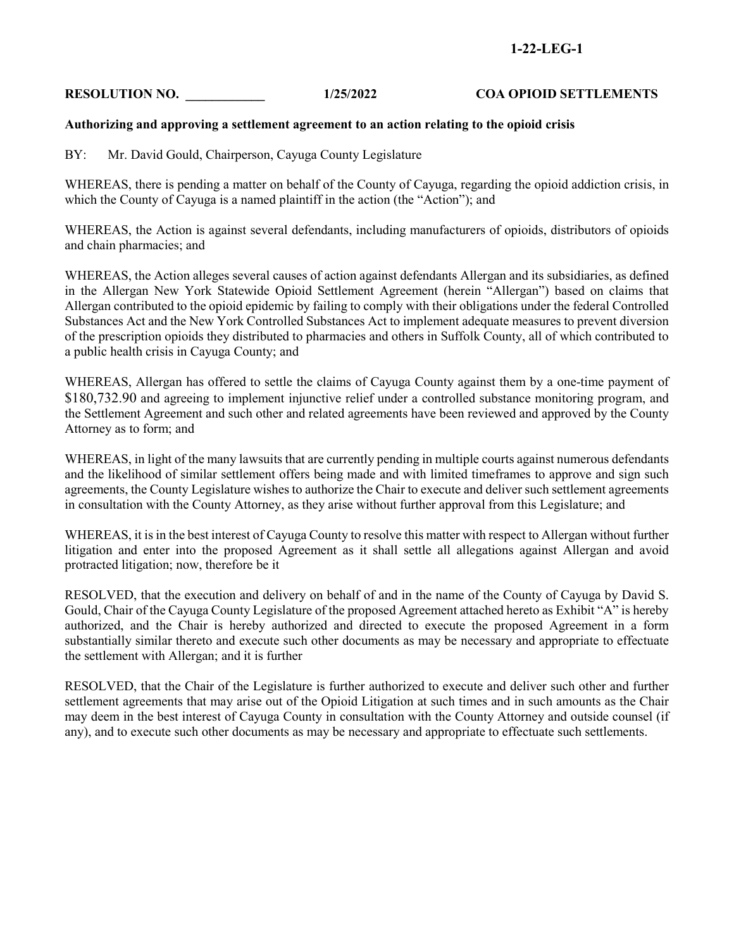# **1-22-LEG-1**

# **RESOLUTION NO. \_\_\_\_\_\_\_\_\_\_\_\_ 1/25/2022 COA OPIOID SETTLEMENTS**

## **Authorizing and approving a settlement agreement to an action relating to the opioid crisis**

BY: Mr. David Gould, Chairperson, Cayuga County Legislature

WHEREAS, there is pending a matter on behalf of the County of Cayuga, regarding the opioid addiction crisis, in which the County of Cayuga is a named plaintiff in the action (the "Action"); and

WHEREAS, the Action is against several defendants, including manufacturers of opioids, distributors of opioids and chain pharmacies; and

WHEREAS, the Action alleges several causes of action against defendants Allergan and its subsidiaries, as defined in the Allergan New York Statewide Opioid Settlement Agreement (herein "Allergan") based on claims that Allergan contributed to the opioid epidemic by failing to comply with their obligations under the federal Controlled Substances Act and the New York Controlled Substances Act to implement adequate measures to prevent diversion of the prescription opioids they distributed to pharmacies and others in Suffolk County, all of which contributed to a public health crisis in Cayuga County; and

WHEREAS, Allergan has offered to settle the claims of Cayuga County against them by a one-time payment of \$180,732.90 and agreeing to implement injunctive relief under a controlled substance monitoring program, and the Settlement Agreement and such other and related agreements have been reviewed and approved by the County Attorney as to form; and

WHEREAS, in light of the many lawsuits that are currently pending in multiple courts against numerous defendants and the likelihood of similar settlement offers being made and with limited timeframes to approve and sign such agreements, the County Legislature wishes to authorize the Chair to execute and deliver such settlement agreements in consultation with the County Attorney, as they arise without further approval from this Legislature; and

WHEREAS, it is in the best interest of Cayuga County to resolve this matter with respect to Allergan without further litigation and enter into the proposed Agreement as it shall settle all allegations against Allergan and avoid protracted litigation; now, therefore be it

RESOLVED, that the execution and delivery on behalf of and in the name of the County of Cayuga by David S. Gould, Chair of the Cayuga County Legislature of the proposed Agreement attached hereto as Exhibit "A" is hereby authorized, and the Chair is hereby authorized and directed to execute the proposed Agreement in a form substantially similar thereto and execute such other documents as may be necessary and appropriate to effectuate the settlement with Allergan; and it is further

RESOLVED, that the Chair of the Legislature is further authorized to execute and deliver such other and further settlement agreements that may arise out of the Opioid Litigation at such times and in such amounts as the Chair may deem in the best interest of Cayuga County in consultation with the County Attorney and outside counsel (if any), and to execute such other documents as may be necessary and appropriate to effectuate such settlements.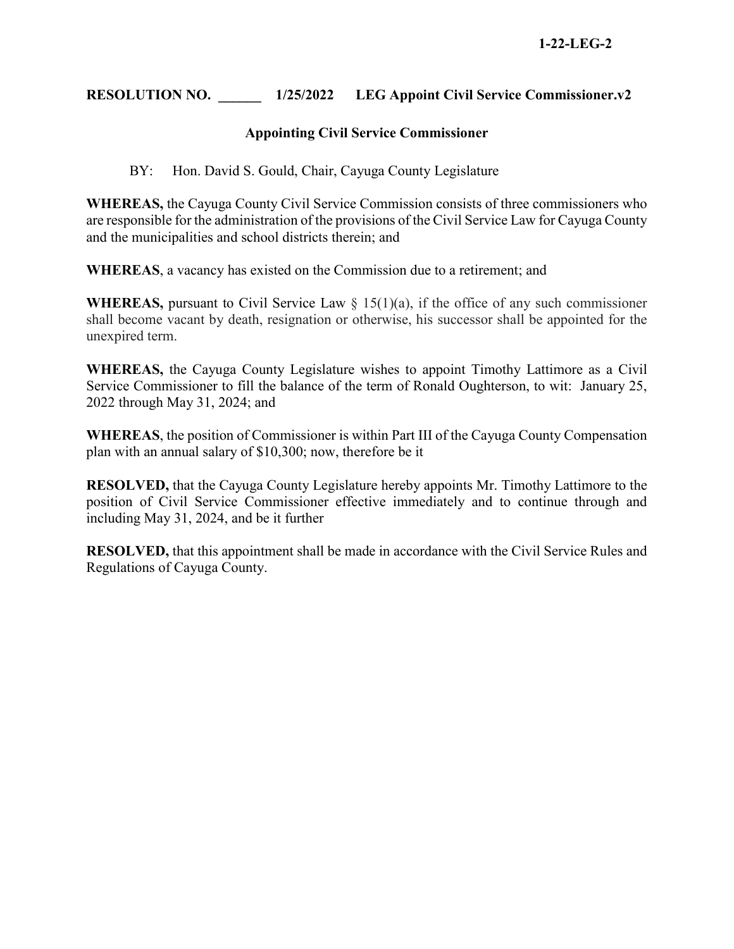# **RESOLUTION NO. \_\_\_\_\_\_ 1/25/2022 LEG Appoint Civil Service Commissioner.v2**

# **Appointing Civil Service Commissioner**

BY: Hon. David S. Gould, Chair, Cayuga County Legislature

**WHEREAS,** the Cayuga County Civil Service Commission consists of three commissioners who are responsible for the administration of the provisions of the Civil Service Law for Cayuga County and the municipalities and school districts therein; and

**WHEREAS**, a vacancy has existed on the Commission due to a retirement; and

**WHEREAS,** pursuant to Civil Service Law § 15(1)(a), if the office of any such commissioner shall become vacant by death, resignation or otherwise, his successor shall be appointed for the unexpired term.

**WHEREAS,** the Cayuga County Legislature wishes to appoint Timothy Lattimore as a Civil Service Commissioner to fill the balance of the term of Ronald Oughterson, to wit: January 25, 2022 through May 31, 2024; and

**WHEREAS**, the position of Commissioner is within Part III of the Cayuga County Compensation plan with an annual salary of \$10,300; now, therefore be it

**RESOLVED,** that the Cayuga County Legislature hereby appoints Mr. Timothy Lattimore to the position of Civil Service Commissioner effective immediately and to continue through and including May 31, 2024, and be it further

**RESOLVED,** that this appointment shall be made in accordance with the Civil Service Rules and Regulations of Cayuga County.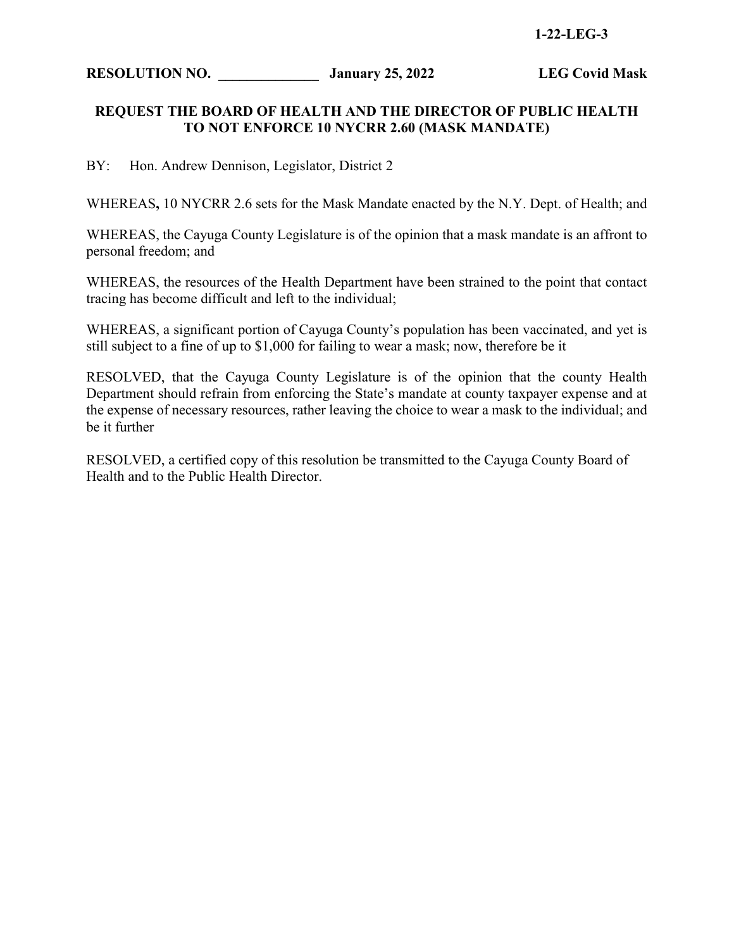# **1-22-LEG-3**

**RESOLUTION NO. \_\_\_\_\_\_\_\_\_\_\_\_\_\_ January 25, 2022 LEG Covid Mask**

# **REQUEST THE BOARD OF HEALTH AND THE DIRECTOR OF PUBLIC HEALTH TO NOT ENFORCE 10 NYCRR 2.60 (MASK MANDATE)**

BY: Hon. Andrew Dennison, Legislator, District 2

WHEREAS**,** 10 NYCRR 2.6 sets for the Mask Mandate enacted by the N.Y. Dept. of Health; and

WHEREAS, the Cayuga County Legislature is of the opinion that a mask mandate is an affront to personal freedom; and

WHEREAS, the resources of the Health Department have been strained to the point that contact tracing has become difficult and left to the individual;

WHEREAS, a significant portion of Cayuga County's population has been vaccinated, and yet is still subject to a fine of up to \$1,000 for failing to wear a mask; now, therefore be it

RESOLVED, that the Cayuga County Legislature is of the opinion that the county Health Department should refrain from enforcing the State's mandate at county taxpayer expense and at the expense of necessary resources, rather leaving the choice to wear a mask to the individual; and be it further

RESOLVED, a certified copy of this resolution be transmitted to the Cayuga County Board of Health and to the Public Health Director.